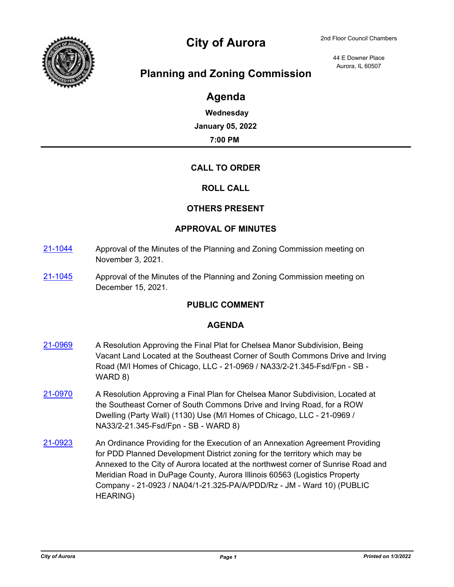

# City of Aurora 2nd Floor Council Chambers

44 E Downer Place Aurora, IL 60507

# **Planning and Zoning Commission**

# **Agenda**

**Wednesday January 05, 2022 7:00 PM**

## **CALL TO ORDER**

### **ROLL CALL**

### **OTHERS PRESENT**

### **APPROVAL OF MINUTES**

- [21-1044](http://aurora-il.legistar.com/gateway.aspx?m=l&id=/matter.aspx?key=11061) Approval of the Minutes of the Planning and Zoning Commission meeting on November 3, 2021.
- [21-1045](http://aurora-il.legistar.com/gateway.aspx?m=l&id=/matter.aspx?key=11062) Approval of the Minutes of the Planning and Zoning Commission meeting on December 15, 2021.

### **PUBLIC COMMENT**

### **AGENDA**

- [21-0969](http://aurora-il.legistar.com/gateway.aspx?m=l&id=/matter.aspx?key=10986) A Resolution Approving the Final Plat for Chelsea Manor Subdivision, Being Vacant Land Located at the Southeast Corner of South Commons Drive and Irving Road (M/I Homes of Chicago, LLC - 21-0969 / NA33/2-21.345-Fsd/Fpn - SB - WARD 8)
- [21-0970](http://aurora-il.legistar.com/gateway.aspx?m=l&id=/matter.aspx?key=10987) A Resolution Approving a Final Plan for Chelsea Manor Subdivision, Located at the Southeast Corner of South Commons Drive and Irving Road, for a ROW Dwelling (Party Wall) (1130) Use (M/I Homes of Chicago, LLC - 21-0969 / NA33/2-21.345-Fsd/Fpn - SB - WARD 8)
- [21-0923](http://aurora-il.legistar.com/gateway.aspx?m=l&id=/matter.aspx?key=10940) An Ordinance Providing for the Execution of an Annexation Agreement Providing for PDD Planned Development District zoning for the territory which may be Annexed to the City of Aurora located at the northwest corner of Sunrise Road and Meridian Road in DuPage County, Aurora Illinois 60563 (Logistics Property Company - 21-0923 / NA04/1-21.325-PA/A/PDD/Rz - JM - Ward 10) (PUBLIC HEARING)